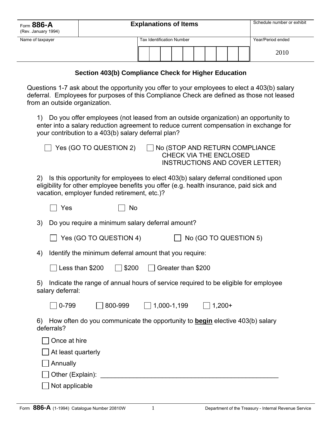| Form 886-A<br>(Rev. January 1994) | <b>Explanations of Items</b>     |  |  |                   | Schedule number or exhibit |  |  |  |      |
|-----------------------------------|----------------------------------|--|--|-------------------|----------------------------|--|--|--|------|
| Name of taxpayer                  | <b>Tax Identification Number</b> |  |  | Year/Period ended |                            |  |  |  |      |
|                                   |                                  |  |  |                   |                            |  |  |  | 2010 |

## **Section 403(b) Compliance Check for Higher Education**

Questions 1-7 ask about the opportunity you offer to your employees to elect a 403(b) salary deferral. Employees for purposes of this Compliance Check are defined as those not leased from an outside organization.

1) Do you offer employees (not leased from an outside organization) an opportunity to enter into a salary reduction agreement to reduce current compensation in exchange for your contribution to a 403(b) salary deferral plan?

|     | Yes (GO TO QUESTION 2)                                                                                                                                                                                                        |             |                    | $\Box$ No (STOP AND RETURN COMPLIANCE<br><b>CHECK VIA THE ENCLOSED</b><br><b>INSTRUCTIONS AND COVER LETTER)</b> |  |  |  |  |  |  |  |
|-----|-------------------------------------------------------------------------------------------------------------------------------------------------------------------------------------------------------------------------------|-------------|--------------------|-----------------------------------------------------------------------------------------------------------------|--|--|--|--|--|--|--|
| (2) | Is this opportunity for employees to elect 403(b) salary deferral conditioned upon<br>eligibility for other employee benefits you offer (e.g. health insurance, paid sick and<br>vacation, employer funded retirement, etc.)? |             |                    |                                                                                                                 |  |  |  |  |  |  |  |
|     | Yes                                                                                                                                                                                                                           | No          |                    |                                                                                                                 |  |  |  |  |  |  |  |
| 3)  | Do you require a minimum salary deferral amount?                                                                                                                                                                              |             |                    |                                                                                                                 |  |  |  |  |  |  |  |
|     | Yes (GO TO QUESTION 4)                                                                                                                                                                                                        |             |                    | No (GO TO QUESTION 5)                                                                                           |  |  |  |  |  |  |  |
| 4)  | Identify the minimum deferral amount that you require:                                                                                                                                                                        |             |                    |                                                                                                                 |  |  |  |  |  |  |  |
|     | Less than \$200                                                                                                                                                                                                               | $ $   \$200 | Greater than \$200 |                                                                                                                 |  |  |  |  |  |  |  |
| 5)  | salary deferral:                                                                                                                                                                                                              |             |                    | Indicate the range of annual hours of service required to be eligible for employee                              |  |  |  |  |  |  |  |
|     | 800-999<br>0-799                                                                                                                                                                                                              |             | $\Box$ 1,000-1,199 | $1,200+$                                                                                                        |  |  |  |  |  |  |  |
| 6)  | deferrals?                                                                                                                                                                                                                    |             |                    | How often do you communicate the opportunity to <b>begin</b> elective 403(b) salary                             |  |  |  |  |  |  |  |
|     | Once at hire                                                                                                                                                                                                                  |             |                    |                                                                                                                 |  |  |  |  |  |  |  |
|     | At least quarterly                                                                                                                                                                                                            |             |                    |                                                                                                                 |  |  |  |  |  |  |  |
|     | Annually                                                                                                                                                                                                                      |             |                    |                                                                                                                 |  |  |  |  |  |  |  |

Other (Explain):  $\Box$ 

 $\Box$  Not applicable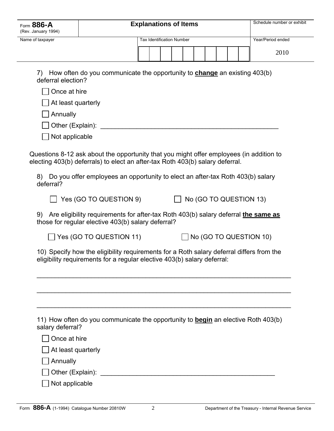| Form 886-A<br>(Rev. January 1994) | <b>Explanations of Items</b>                                                                                                                                                                                                                                  |                                  |  |  |                               |  |  |  |
|-----------------------------------|---------------------------------------------------------------------------------------------------------------------------------------------------------------------------------------------------------------------------------------------------------------|----------------------------------|--|--|-------------------------------|--|--|--|
| Name of taxpayer                  |                                                                                                                                                                                                                                                               | <b>Tax Identification Number</b> |  |  | Year/Period ended             |  |  |  |
|                                   |                                                                                                                                                                                                                                                               |                                  |  |  | 2010                          |  |  |  |
|                                   |                                                                                                                                                                                                                                                               |                                  |  |  |                               |  |  |  |
| 7)<br>deferral election?          | How often do you communicate the opportunity to <b>change</b> an existing 403(b)                                                                                                                                                                              |                                  |  |  |                               |  |  |  |
| Once at hire                      |                                                                                                                                                                                                                                                               |                                  |  |  |                               |  |  |  |
| At least quarterly                |                                                                                                                                                                                                                                                               |                                  |  |  |                               |  |  |  |
| Annually                          |                                                                                                                                                                                                                                                               |                                  |  |  |                               |  |  |  |
|                                   |                                                                                                                                                                                                                                                               |                                  |  |  |                               |  |  |  |
| Not applicable                    |                                                                                                                                                                                                                                                               |                                  |  |  |                               |  |  |  |
| deferral?                         | Questions 8-12 ask about the opportunity that you might offer employees (in addition to<br>electing 403(b) deferrals) to elect an after-tax Roth 403(b) salary deferral.<br>8) Do you offer employees an opportunity to elect an after-tax Roth 403(b) salary |                                  |  |  |                               |  |  |  |
|                                   | Yes (GO TO QUESTION 9)                                                                                                                                                                                                                                        | $\mathbb{R}^n$                   |  |  | No (GO TO QUESTION 13)        |  |  |  |
| 9)                                | Are eligibility requirements for after-tax Roth 403(b) salary deferral the same as<br>those for regular elective 403(b) salary deferral?                                                                                                                      |                                  |  |  |                               |  |  |  |
|                                   | $\blacksquare$ Yes (GO TO QUESTION 11)                                                                                                                                                                                                                        |                                  |  |  | $\Box$ No (GO TO QUESTION 10) |  |  |  |
|                                   | 10) Specify how the eligibility requirements for a Roth salary deferral differs from the<br>eligibility requirements for a regular elective 403(b) salary deferral:                                                                                           |                                  |  |  |                               |  |  |  |
|                                   |                                                                                                                                                                                                                                                               |                                  |  |  |                               |  |  |  |
| salary deferral?                  | 11) How often do you communicate the opportunity to <b>begin</b> an elective Roth 403(b)                                                                                                                                                                      |                                  |  |  |                               |  |  |  |
| Once at hire                      |                                                                                                                                                                                                                                                               |                                  |  |  |                               |  |  |  |
| At least quarterly                |                                                                                                                                                                                                                                                               |                                  |  |  |                               |  |  |  |
| Annually                          |                                                                                                                                                                                                                                                               |                                  |  |  |                               |  |  |  |
|                                   |                                                                                                                                                                                                                                                               |                                  |  |  |                               |  |  |  |
| Not applicable                    |                                                                                                                                                                                                                                                               |                                  |  |  |                               |  |  |  |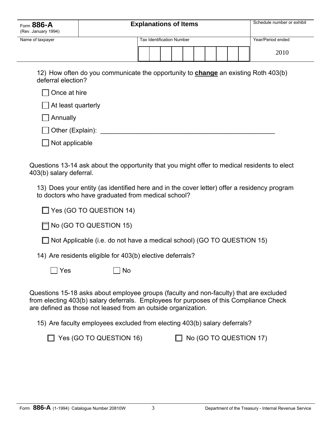| Form 886-A<br>(Rev. January 1994) | Schedule number or exhibit<br><b>Explanations of Items</b>                                |  |  |  |  |  |  |  |
|-----------------------------------|-------------------------------------------------------------------------------------------|--|--|--|--|--|--|--|
| Name of taxpayer                  | Year/Period ended                                                                         |  |  |  |  |  |  |  |
|                                   | 2010                                                                                      |  |  |  |  |  |  |  |
| deferral election?                | 12) How often do you communicate the opportunity to <b>change</b> an existing Roth 403(b) |  |  |  |  |  |  |  |
| Once at hire                      |                                                                                           |  |  |  |  |  |  |  |
| At least quarterly                |                                                                                           |  |  |  |  |  |  |  |

**□** Annually

| Other (Explain): |  |
|------------------|--|
|------------------|--|

 $\Box$  Not applicable

Questions 13-14 ask about the opportunity that you might offer to medical residents to elect 403(b) salary deferral.

13) Does your entity (as identified here and in the cover letter) offer a residency program to doctors who have graduated from medical school?

|  | □ Yes (GO TO QUESTION 14) |
|--|---------------------------|
|--|---------------------------|

 $\Box$  No (GO TO QUESTION 15)

| $\Box$ Not Applicable (i.e. do not have a medical school) (GO TO QUESTION 15) |
|-------------------------------------------------------------------------------|
|-------------------------------------------------------------------------------|

14) Are residents eligible for 403(b) elective deferrals?

 $\Box$  Yes  $\Box$  No

Questions 15-18 asks about employee groups (faculty and non-faculty) that are excluded from electing 403(b) salary deferrals. Employees for purposes of this Compliance Check are defined as those not leased from an outside organization.

15) Are faculty employees excluded from electing 403(b) salary deferrals?

 $\Box$  Yes (GO TO QUESTION 16)  $\Box$  No (GO TO QUESTION 17)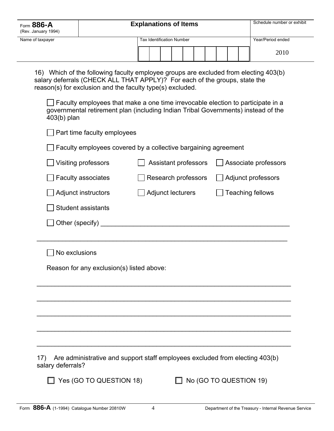| Form 886-A<br>(Rev. January 1994) | <b>Explanations of Items</b>     |  |  |  |  |  |  |  |  |                   | Schedule number or exhibit |
|-----------------------------------|----------------------------------|--|--|--|--|--|--|--|--|-------------------|----------------------------|
| Name of taxpayer                  | <b>Tax Identification Number</b> |  |  |  |  |  |  |  |  | Year/Period ended |                            |
|                                   |                                  |  |  |  |  |  |  |  |  |                   | 2010                       |

16) Which of the following faculty employee groups are excluded from electing 403(b) salary deferrals (CHECK ALL THAT APPLY)? For each of the groups, state the reason(s) for exclusion and the faculty type(s) excluded.

 $\Box$  Faculty employees that make a one time irrevocable election to participate in a governmental retirement plan (including Indian Tribal Governments) instead of the 403(b) plan

| Part time faculty employees                                                                              |  |                             |                         |  |  |  |  |  |  |  |  |
|----------------------------------------------------------------------------------------------------------|--|-----------------------------|-------------------------|--|--|--|--|--|--|--|--|
| Faculty employees covered by a collective bargaining agreement                                           |  |                             |                         |  |  |  |  |  |  |  |  |
| Visiting professors                                                                                      |  | <b>Assistant professors</b> | Associate professors    |  |  |  |  |  |  |  |  |
| <b>Faculty associates</b>                                                                                |  | Research professors         | Adjunct professors      |  |  |  |  |  |  |  |  |
| Adjunct instructors                                                                                      |  | Adjunct lecturers           | <b>Teaching fellows</b> |  |  |  |  |  |  |  |  |
| Student assistants                                                                                       |  |                             |                         |  |  |  |  |  |  |  |  |
| $\vert$ Other (specify) $\_\_$                                                                           |  |                             |                         |  |  |  |  |  |  |  |  |
|                                                                                                          |  |                             |                         |  |  |  |  |  |  |  |  |
| No exclusions                                                                                            |  |                             |                         |  |  |  |  |  |  |  |  |
| Reason for any exclusion(s) listed above:                                                                |  |                             |                         |  |  |  |  |  |  |  |  |
|                                                                                                          |  |                             |                         |  |  |  |  |  |  |  |  |
|                                                                                                          |  |                             |                         |  |  |  |  |  |  |  |  |
|                                                                                                          |  |                             |                         |  |  |  |  |  |  |  |  |
|                                                                                                          |  |                             |                         |  |  |  |  |  |  |  |  |
|                                                                                                          |  |                             |                         |  |  |  |  |  |  |  |  |
| Are administrative and support staff employees excluded from electing 403(b)<br>17)<br>salary deferrals? |  |                             |                         |  |  |  |  |  |  |  |  |
| $\overline{\phantom{a}}$ Yes (GO TO QUESTION 18)                                                         |  |                             | No (GO TO QUESTION 19)  |  |  |  |  |  |  |  |  |
|                                                                                                          |  |                             |                         |  |  |  |  |  |  |  |  |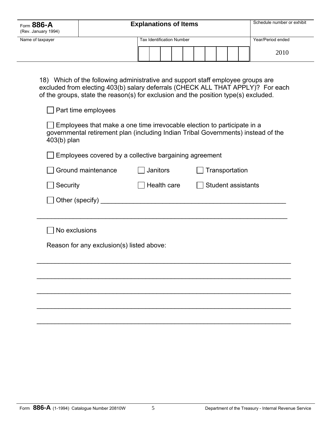| Form 886-A<br>(Rev. January 1994) | <b>Explanations of Items</b> |                                  |                   |  |  |  |  |      |  |  |
|-----------------------------------|------------------------------|----------------------------------|-------------------|--|--|--|--|------|--|--|
| Name of taxpayer                  |                              | <b>Tax Identification Number</b> | Year/Period ended |  |  |  |  |      |  |  |
|                                   |                              |                                  |                   |  |  |  |  | 2010 |  |  |

18) Which of the following administrative and support staff employee groups are excluded from electing 403(b) salary deferrals (CHECK ALL THAT APPLY)? For each of the groups, state the reason(s) for exclusion and the position type(s) excluded.

| Part time employees                                                                                                                                                           |                            |                           |  |  |  |  |  |  |  |  |  |  |
|-------------------------------------------------------------------------------------------------------------------------------------------------------------------------------|----------------------------|---------------------------|--|--|--|--|--|--|--|--|--|--|
| Employees that make a one time irrevocable election to participate in a<br>governmental retirement plan (including Indian Tribal Governments) instead of the<br>$403(b)$ plan |                            |                           |  |  |  |  |  |  |  |  |  |  |
| Employees covered by a collective bargaining agreement                                                                                                                        |                            |                           |  |  |  |  |  |  |  |  |  |  |
| Ground maintenance                                                                                                                                                            | Janitors<br>Transportation |                           |  |  |  |  |  |  |  |  |  |  |
| Security                                                                                                                                                                      | Health care                | <b>Student assistants</b> |  |  |  |  |  |  |  |  |  |  |
|                                                                                                                                                                               |                            |                           |  |  |  |  |  |  |  |  |  |  |
|                                                                                                                                                                               |                            |                           |  |  |  |  |  |  |  |  |  |  |
| No exclusions                                                                                                                                                                 |                            |                           |  |  |  |  |  |  |  |  |  |  |
| Reason for any exclusion(s) listed above:                                                                                                                                     |                            |                           |  |  |  |  |  |  |  |  |  |  |
|                                                                                                                                                                               |                            |                           |  |  |  |  |  |  |  |  |  |  |
|                                                                                                                                                                               |                            |                           |  |  |  |  |  |  |  |  |  |  |
|                                                                                                                                                                               |                            |                           |  |  |  |  |  |  |  |  |  |  |
|                                                                                                                                                                               |                            |                           |  |  |  |  |  |  |  |  |  |  |
|                                                                                                                                                                               |                            |                           |  |  |  |  |  |  |  |  |  |  |